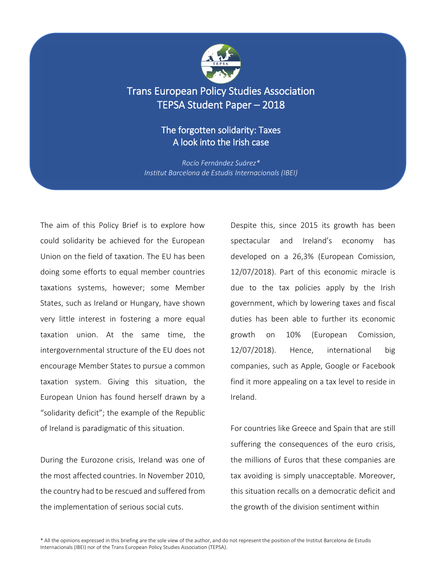

# Trans European Policy Studies Association TEPSA Student Paper – 2018

## The forgotten solidarity: Taxes A look into the Irish case

*Rocío Fernández Suárez\* Institut Barcelona de Estudis Internacionals (IBEI)*

The aim of this Policy Brief is to explore how could solidarity be achieved for the European Union on the field of taxation. The EU has been doing some efforts to equal member countries taxations systems, however; some Member States, such as Ireland or Hungary, have shown very little interest in fostering a more equal taxation union. At the same time, the intergovernmental structure of the EU does not encourage Member States to pursue a common taxation system. Giving this situation, the European Union has found herself drawn by a "solidarity deficit"; the example of the Republic of Ireland is paradigmatic of this situation.

During the Eurozone crisis, Ireland was one of the most affected countries. In November 2010, the country had to be rescued and suffered from the implementation of serious social cuts.

Despite this, since 2015 its growth has been spectacular and Ireland's economy has developed on a 26,3% (European Comission, 12/07/2018). Part of this economic miracle is due to the tax policies apply by the Irish government, which by lowering taxes and fiscal duties has been able to further its economic growth on 10% (European Comission, 12/07/2018). Hence, international big companies, such as Apple, Google or Facebook find it more appealing on a tax level to reside in Ireland.

For countries like Greece and Spain that are still suffering the consequences of the euro crisis, the millions of Euros that these companies are tax avoiding is simply unacceptable. Moreover, this situation recalls on a democratic deficit and the growth of the division sentiment within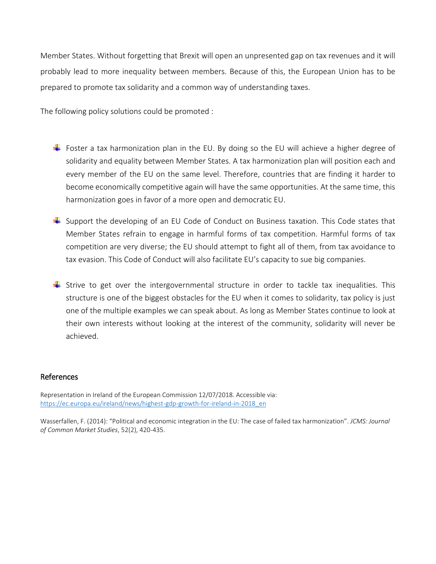Member States. Without forgetting that Brexit will open an unpresented gap on tax revenues and it will probably lead to more inequality between members. Because of this, the European Union has to be prepared to promote tax solidarity and a common way of understanding taxes.

The following policy solutions could be promoted :

- Foster a tax harmonization plan in the EU. By doing so the EU will achieve a higher degree of solidarity and equality between Member States. A tax harmonization plan will position each and every member of the EU on the same level. Therefore, countries that are finding it harder to become economically competitive again will have the same opportunities. At the same time, this harmonization goes in favor of a more open and democratic EU.
- $\ddot{\phantom{1}}$  Support the developing of an EU Code of Conduct on Business taxation. This Code states that Member States refrain to engage in harmful forms of tax competition. Harmful forms of tax competition are very diverse; the EU should attempt to fight all of them, from tax avoidance to tax evasion. This Code of Conduct will also facilitate EU's capacity to sue big companies.
- Strive to get over the intergovernmental structure in order to tackle tax inequalities. This structure is one of the biggest obstacles for the EU when it comes to solidarity, tax policy is just one of the multiple examples we can speak about. As long as Member States continue to look at their own interests without looking at the interest of the community, solidarity will never be achieved.

#### References

Representation in Ireland of the European Commission 12/07/2018. Accessible via: [https://ec.europa.eu/ireland/news/highest-gdp-growth-for-ireland-in-2018\\_en](https://ec.europa.eu/ireland/news/highest-gdp-growth-for-ireland-in-2018_en)

Wasserfallen, F. (2014): "Political and economic integration in the EU: The case of failed tax harmonization". *JCMS: Journal of Common Market Studies*, 52(2), 420-435.